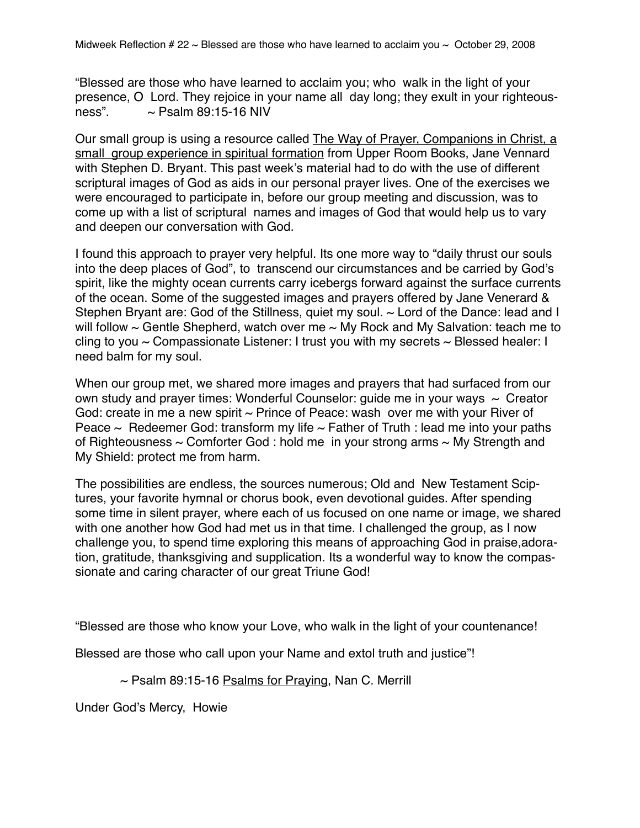"Blessed are those who have learned to acclaim you; who walk in the light of your presence, O Lord. They rejoice in your name all day long; they exult in your righteousness".  $\sim$  Psalm 89:15-16 NIV

Our small group is using a resource called The Way of Prayer, Companions in Christ, a small group experience in spiritual formation from Upper Room Books, Jane Vennard with Stephen D. Bryant. This past week's material had to do with the use of different scriptural images of God as aids in our personal prayer lives. One of the exercises we were encouraged to participate in, before our group meeting and discussion, was to come up with a list of scriptural names and images of God that would help us to vary and deepen our conversation with God.

I found this approach to prayer very helpful. Its one more way to "daily thrust our souls into the deep places of God", to transcend our circumstances and be carried by God's spirit, like the mighty ocean currents carry icebergs forward against the surface currents of the ocean. Some of the suggested images and prayers offered by Jane Venerard & Stephen Bryant are: God of the Stillness, quiet my soul. ~ Lord of the Dance: lead and I will follow  $\sim$  Gentle Shepherd, watch over me  $\sim$  My Rock and My Salvation: teach me to cling to you  $\sim$  Compassionate Listener: I trust you with my secrets  $\sim$  Blessed healer: I need balm for my soul.

When our group met, we shared more images and prayers that had surfaced from our own study and prayer times: Wonderful Counselor: quide me in your ways  $\sim$  Creator God: create in me a new spirit  $\sim$  Prince of Peace: wash over me with your River of Peace  $\sim$  Redeemer God: transform my life  $\sim$  Father of Truth : lead me into your paths of Righteousness  $\sim$  Comforter God : hold me in your strong arms  $\sim$  My Strength and My Shield: protect me from harm.

The possibilities are endless, the sources numerous; Old and New Testament Sciptures, your favorite hymnal or chorus book, even devotional guides. After spending some time in silent prayer, where each of us focused on one name or image, we shared with one another how God had met us in that time. I challenged the group, as I now challenge you, to spend time exploring this means of approaching God in praise,adoration, gratitude, thanksgiving and supplication. Its a wonderful way to know the compassionate and caring character of our great Triune God!

"Blessed are those who know your Love, who walk in the light of your countenance!

Blessed are those who call upon your Name and extol truth and justice"!

 $\sim$  Psalm 89:15-16 Psalms for Praying, Nan C. Merrill

Under God's Mercy, Howie